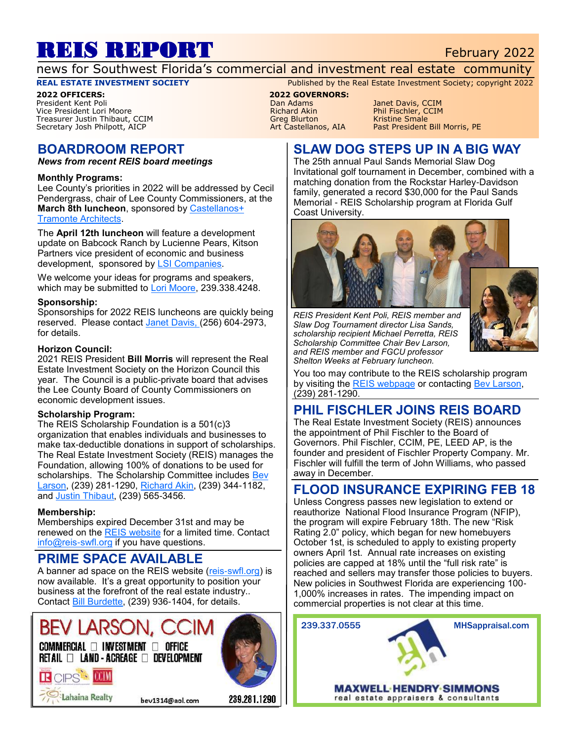# REIS REPORT February 2022

news for Southwest Florida's commercial and investment real estate community

#### **REAL ESTATE INVESTMENT SOCIETY** Published by the Real Estate Investment Society; copyright 2022

**2022 OFFICERS: 2022 GOVERNORS:** Vice President Lori Moore **Richard Akin** Phil Fischler, CONNECT Richard Akin Phil Fischler, CONNECT RESERVENT RI<br>Preasurer Justin Thibaut, CCIM Phil Philosophy Richard Blurton Richard Richard Richard Richard Richard Bonale Treasurer Justin Thibaut, CCIM and the Smale Smale Smale Smale Smale Smale Smale Smale Smale Smale Smale Smale<br>Secretary Josh Philpott, AICP Small State Small Screen Art Castellanos, AIA Bast President Bill Morris, PE Secretary Josh Philpott, AICP

### **BOARDROOM REPORT**

*News from recent REIS board meetings*

#### **Monthly Programs:**

Lee County's priorities in 2022 will be addressed by Cecil Pendergrass, chair of Lee County Commissioners, at the **March 8th luncheon**, sponsored by [Castellanos+](http://castellanostramonte.com/)  **[Tramonte Architects.](http://castellanostramonte.com/)** 

The **April 12th luncheon** will feature a development update on Babcock Ranch by Lucienne Pears, Kitson Partners vice president of economic and business development, sponsored by [LSI Companies.](http://lsicompanies.com)

We welcome your ideas for programs and speakers, which may be submitted to [Lori Moore,](mailto:lmoore@ralaw.com) 239.338.4248.

#### **Sponsorship:**

Sponsorships for 2022 REIS luncheons are quickly being reserved. Please contact [Janet Davis, \(2](mailto:Janetmariedavis1222@gmail.com)56) 604-2973, for details.

#### **Horizon Council:**

2021 REIS President **Bill Morris** will represent the Real Estate Investment Society on the Horizon Council this year. The Council is a public-private board that advises the Lee County Board of County Commissioners on economic development issues.

#### **Scholarship Program:**

The REIS Scholarship Foundation is a 501(c)3 organization that enables individuals and businesses to make tax-deductible donations in support of scholarships. The Real Estate Investment Society (REIS) manages the Foundation, allowing 100% of donations to be used for scholarships. The Scholarship Committee includes Bev [Larson,](mailto:bev1314@aol.com) (239) 281-1290, [Richard Akin,](mailto:richard.akin@henlaw.com) (239) 344-1182, and [Justin Thibaut,](mailto:jthibaut@lsicompanies.com) (239) 565-3456.

#### **Membership:**

**RCPS MM** 

Lahaina Realty

Memberships expired December 31st and may be renewed on the [REIS website](http://www.reis-swfl.org) for a limited time. Contact [info@reis-swfl.org](mailto:info@reis-swfl.org) if you have questions.

#### **PRIME SPACE AVAILABLE**

A banner ad space on the REIS website ([reis-swfl.org\)](http://www.reis-swfl.org) is now available. It's a great opportunity to position your business at the forefront of the real estate industry.. Contact [Bill Burdette,](mailto:info@reis-swfl.org) (239) 936-1404, for details.

# **BEV LARSC**

 $\mathsf{COMMERCIAL} \ \Box \ \mathsf{INVESTMENT} \ \Box \ \ \mathsf{OFFICE}$  $RETAIL \ \Box \ \$  land - acreage  $\ \Box \ \$  development



Pan Adams Janet Davis, CCIM<br>Phil Fischler, CCIM

#### **SLAW DOG STEPS UP IN A BIG WAY**

The 25th annual Paul Sands Memorial Slaw Dog Invitational golf tournament in December, combined with a matching donation from the Rockstar Harley-Davidson family, generated a record \$30,000 for the Paul Sands Memorial - REIS Scholarship program at Florida Gulf Coast University.



*REIS President Kent Poli, REIS member and Slaw Dog Tournament director Lisa Sands, scholarship recipient Michael Perretta, REIS Scholarship Committee Chair Bev Larson, and REIS member and FGCU professor Shelton Weeks at February luncheon.*



You too may contribute to the REIS scholarship program by visiting the [REIS webpage](https://www.reis-swfl.org/scholarships.html) or contacting [Bev Larson,](mailto:bev1314@aol.com) (239) 281-1290.

#### **PHIL FISCHLER JOINS REIS BOARD**

The Real Estate Investment Society (REIS) announces the appointment of Phil Fischler to the Board of Governors. Phil Fischler, CCIM, PE, LEED AP, is the founder and president of Fischler Property Company. Mr. Fischler will fulfill the term of John Williams, who passed away in December.

#### **FLOOD INSURANCE EXPIRING FEB 18**

Unless Congress passes new legislation to extend or reauthorize National Flood Insurance Program (NFIP), the program will expire February 18th. The new "Risk Rating 2.0" policy, which began for new homebuyers October 1st, is scheduled to apply to existing property owners April 1st. Annual rate increases on existing policies are capped at 18% until the "full risk rate" is reached and sellers may transfer those policies to buyers. New policies in Southwest Florida are experiencing 100- 1,000% increases in rates. The impending impact on commercial properties is not clear at this time.



bev1314@aol.com

239.281.1290